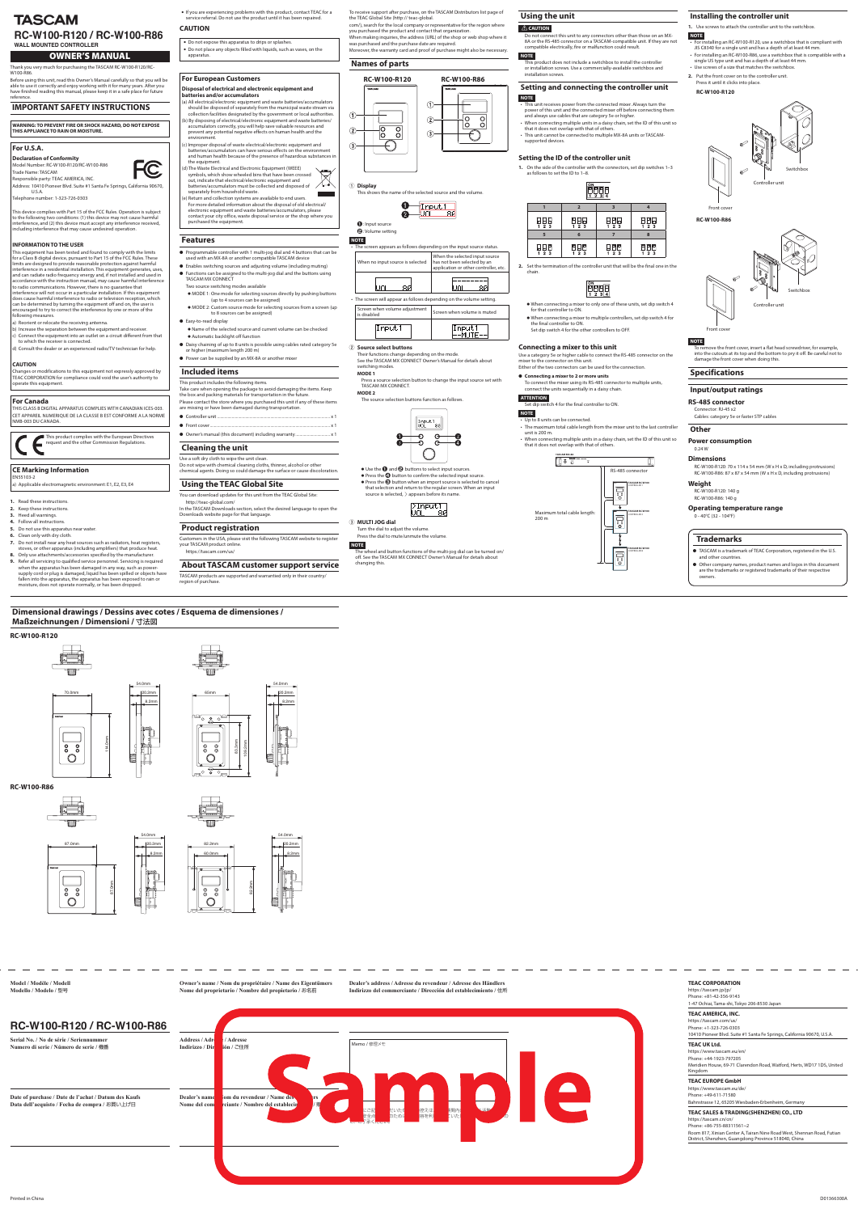# **Features**

C

- p Programmable controller with 1 multi-jog dial and 4 buttons that can be used with an MX-8A or another compatible TASCAM device
- p Enables switching sources and adjusting volume (including muting) p Functions can be assigned to the multi-jog dial and the buttons using TASCAM MX CONNECT
- Two source switching modes available o MODE 1: One mode for selecting sources directly by pushing buttons
- (up to 4 sources can be assigned) o MODE 2: Custom source mode for selecting sources from a screen (up to 8 sources can be assigned)
- Easy-to-read display
- o Name of the selected source and current volume can be checked **•** Automatic backlight off function
- p Daisy chaining of up to 8 units is possible using cables rated category 5e or higher (maximum length 200 m)
- p Power can be supplied by an MX-8A or another mixer

- This product includes the following items. Take care when opening the package to avoid damaging the items. Keep the box and packing materials for transportation in the future. Please contact the store where you purchased this unit if any of these items
- are missing or have been damaged during transportation. **•** Controller unit ....
- **•** Front cover...
- **•** Owner's manual (this document) including warranty....

### **Included items**

**NOTE** The screen appears as follows depending on the input source status When no input source is selected When the selected input source has not been selected by an application or other controller, etc.

# **Cleaning the unit**

- Screen when volume adjustment<br>is disabled Screen when volume is muted
- 2 **Source select buttons**

Inputl

Use a soft dry cloth to wipe the unit clean. Do not wipe with chemical cleaning cloths, thinner, alcohol or other chemical agents. Doing so could damage the surface or cause discoloration.

# **Using the TEAC Global Site**

- You can download updates for this unit from the TEAC Global Site: http://teac-global.com/ In the TASCAM Downloads section, select the desired language to open the Downloads website page for that language.
- **Product registration**
- Customers in the USA, please visit the following TASCAM website to register your TASCAM product online.

https://tascam.com/us/

Do not connect this unit to any connectors other than those on an MX-8A or the RS-485 connector on a TASCAM-compatible unit. If they are not compatible electrically, fire or malfunction could result.

**About TASCAM customer support service** TASCAM products are supported and warrantied only in their country/

region of purchase.

- To receive support after purchase, on the TASCAM Distributors list page of the TEAC Global Site (http:// teac-global.
- com/), search for the local company or representative for the region where you purchased the product and contact that organization When making inquiries, the address (URL) of the shop or web shop where it was purchased and the purchase date are required.
- Moreover, the warranty card and proof of purchase might also be necessary.

# **Names of parts**











Input1 <u>|--MUTE--</u>

- Their functions change depending on the mode. See the TASCAM MX CONNECT Owner's Manual for details about switching modes.
- **MODE 1** Press a source selection button to change the input source set with
- TASCAM MX CONNECT. **MODE 2**

The source selection buttons function as follows.



- $\bullet$  Use the  $\bullet$  and  $\bullet$  buttons to select input sources.  $\bullet$  Press the  $\bullet$  button to confirm the selected input source.  $\bullet$  Press the  $\bigodot$  button when an import source is selected to cancel
	- that selection and return to the regular screen. When an input source is selected,  $>$  appears before its name.



3 **MULTI JOG dial** Turn the dial to adjust the volume. Press the dial to mute/unmute the volume.

# **NOTE**

The wheel and button functions of the multi-jog dial can be turned on/ off. See the TASCAM MX CONNECT Owner's Manual for details about changing this.

# **Using the unit**

### **ZCAUTION**

### **NOTE**

This product does not include a switchbox to install the controller or installation screws. Use a commercially-available switchbox and installation screws.

# **Setting and connecting the controller unit NOTE**

This device complies with Part 15 of the FCC Rules. Operation is subject to the following two conditions: (1) this device may not cause harmful interference, and (2) this device must accept any interference received, ncluding interference that may cause undesired operation.

- This unit receives power from the connected mixer. Always turn the power of this unit and the connected mixer off before connecting them .<br>and always use cables that are category 5e or higher.
- When connecting multiple units in a daisy chain, set the ID of this unit so
- that it does not overlap with that of others. • This unit cannot be connected to multiple MX-8A units or TASCAM-
- supported devices.

### **Setting the ID of the controller unit**

 $\begin{array}{c} \mathbb{P} \mathbb{H} \\ \mathbb{1} \quad \mathbb{2} \quad \mathbb{3} \end{array}$ 

 $\begin{array}{c} 0 \\ 1 \\ 2 \\ 3 \end{array}$ 

**1.** On the side of the controller with the connectors, set dip switches 1–3

as follows to set the ID to 1–8.

**1 2 3 4**

 $\left| \begin{matrix} 1 \\ 1 \\ 2 \end{matrix} \begin{matrix} 0 \\ 3 \\ 4 \end{matrix} \right|$ 

**5 6 7 8**

 $\begin{array}{c} \boxed{1}{\begin{bmatrix} 0 \\ 1 \end{bmatrix}} \\ \mathbf{1} \end{array}}$ 

 $\begin{array}{c} \square \square \\ 1 \ 2 \ 3 \end{array}$ 

 $\begin{tabular}{c} {\bf P} \\ {\bf I} \\ {\bf I} \\ {\bf I} \end{tabular}$ 

 $\begin{array}{c} \square \ \square \\ 1 \ 2 \ 3 \end{array}$ 

**2.** Set the termination of the controller unit that will be the final one in the

chain.

 $\frac{1}{1}$  $\frac{1}{2}$  $\frac{1}{3}$ 

 $\frac{1}{1}$  $\frac{1}{2}$  $\frac{1}{3}$ 

o When connecting a mixer to only one of these units, set dip switch 4

 $\left[\begin{matrix} 0N \ 1 \end{matrix}\right]$   $\left[\begin{matrix} 0 & 0 \ 1 & 2 & 3 \end{matrix}\right]$   $\left[\begin{matrix} 4 & 0 \ 4 & 4 \end{matrix}\right]$ 

for that controller to ON.

o When connecting a mixer to multiple controllers, set dip switch 4 for

the final controller to ON.

Set dip switch 4 for the other controllers to OFF.

**Connecting a mixer to this unit**

Use a category 5e or higher cable to connect the RS-485 connector on the

mixer to the connector on this unit.

Either of the two connectors can be used for the connection.

p **Connecting a mixer to 2 or more units**

To connect the mixer using its RS-485 connector to multiple units,

connect the units sequentially in a daisy chain.

**ATTENTION**

Set dip switch 4 for the final controller to ON.

**NOTE**





• Up to 8 units can be connected.

• The maximum total cable length from the mixer unit to the last controller

unit is 200 m.

 $\bullet$  If you are experiencing problems with this product, contact TEAC for a service referral. Do not use the product until it has been repaired.

• When connecting multiple units in a daisy chain, set the ID of this unit so

ా.

• Do not expose this apparatus to drips or splashes. • Do not place any objects filled with liquids, such as vases, on the apparatus.

that it does not overlap with that of others.

CONTROLLER 1

CONTROLLER 2

CONTROLLER 8

**TASCAM MX-8A**

 $\int_{0}^{\infty}$  o  $\frac{1}{\pi}$ 

**TASCAM RC-W100**

**TASCAM RC-W100**

**TASCAM RC-W100**

Maximum total cable length:

200 m

RS-485 connector

 $\mathbb{C}^{\infty}_{\infty}$ 

 $\Xi^{\circ}$ 

 $\overline{\mathbb{G}}$ 

**Trademarks**

p TASCAM is a trademark of TEAC Corporation, registered in the U.S.

p Other company names, product names and logos in this document are the trademarks or registered trademarks of their respective

owners.

**Dimensional drawings / Dessins avec cotes / Esquema de dimensiones /** 

**Maßzeichnungen / Dimensioni /** 寸法図

**RC-W100-R120**

54.0mm



114.0mm

**RC-W100-R86**



 $\begin{array}{ccc} 0 & 0 \\ 0 & 0 \end{array}$ 

 $\bigcirc$ 



# **TASCAM RC-W100-R120 / RC-W100-R86**



**Installing the controller unit**

**1.** Use screws to attach the controller unit to the switchbox.

**NOTE**

• For installing an RC-W100-R120, use a switchbox that is compliant with JIS C8340 for a single unit and has a depth of at least 44 mm • For installing an RC-W100-R86, use a switchbox that is compatible with a

single US type unit and has a depth of at least 44 mm. • Use screws of a size that matches the switchbox. **2.** Put the front cover on to the controller unit. Press it until it clicks into place.

**RC-W100-R120**

Front cover

Controller unit

Switchbox

**RC-W100-R86**

Front cover

Controller unit

Switchbox

and other countries

**NOTE**

To remove the front cover, insert a flat head screwdriver, for example, into the cutouts at its top and the bottom to pry it off. Be careful not to

damage the front cover when doing this.

**Specifications**

**Input/output ratings**

**RS-485 connector** Connector: RJ-45 x2

Cables: category 5e or faster STP cables

**Other**

**Power consumption**

0.24 W **Dimensions**

RC-W100-R120: 70 x 114 x 54 mm (W x H x D, including protrusions) RC-W100-R86: 87 x 87 x 54 mm (W x H x D, including protrusions)

**Weight**

RC-W100-R120: 140 g RC-W100-R86: 140 g

**Operating temperature range**

0 - 40°C (32 - 104°F)

### **Model / Modèle / Modell Modello / Modelo /** 型号

**Owner's name / Nom du propriétaire / Name des Eigentümers Nome del proprietario / Nombre del propietario /** お名前



**Dealer's address / Adresse du revendeur / Adresse des Händlers Indirizzo del commerciante / Dirección del establecimiento /** 住所

# **IMPORTANT SAFETY INSTRUCTIONS**

**WARNING: TO PREVENT FIRE OR SHOCK HAZARD, DO NOT EXPOSE THIS APPLIANCE TO RAIN OR MOISTURE.**

### **For U.S.A.**

**Declaration of Conformity** Model Number: RC-W100-R120/RC-W100-R86 Trade Name: TASCAM Responsible party: TEAC AMERICA, INC.

Address: 10410 Pioneer Blvd. Suite #1 Santa Fe Springs, California 90670, U.S.A.

Telephone number: 1-323-726-0303

#### **INFORMATION TO THE USER**

This equipment has been tested and found to comply with the limits for a Class B digital device, pursuant to Part 15 of the FCC Rules. These limits are designed to provide reasonable protection against harmful interference in a residential installation. This equipment generates, uses, and can radiate radio frequency energy and, if not installed and used in accordance with the instruction manual, may cause harmful interference to radio communications. However, there is no guarantee that interference will not occur in a particular installation. If this equipment does cause harmful interference to radio or television reception, which can be determined by turning the equipment off and on, the user is encouraged to try to correct the interference by one or more of the following measures.

- 
- a) Reorient or relocate the receiving antenna. b) Increase the separation between the equipment and receiver.
- c) Connect the equipment into an outlet on a circuit different from that to which the receiver is connected.
- d) Consult the dealer or an experienced radio/TV technician for help.

#### **CAUTION**

Changes or modifications to this equipment not expressly approved by TEAC CORPORATION for compliance could void the user's authority to operate this equipment.

### **For Canada**

THIS CLASS B DIGITAL APPARATUS COMPLIES WITH CANADIAN ICES-003. CET APPAREIL NUMERIQUE DE LA CLASSE B EST CONFORME A LA NORME NMB-003 DU CANADA.

This product complies with the European Directives request and the other Commission Regulations.

# **CE Marking Information**

EN55103-2 a) Applicable electromagnetic environment: E1, E2, E3, E4

- **1.** Read these instructions.
- **2.** Keep these instructions.
- **3.** Heed all warnings.
- **4.** Follow all instructions.
- **5.** Do not use this apparatus near water.
- **6.** Clean only with dry cloth.

**7.** Do not install near any heat sources such as radiators, heat registers, stoves, or other apparatus (including amplifiers) that produce heat.

**8.** Only use attachments/accessories specified by the manufacturer. **9.** Refer all servicing to qualified service personnel. Servicing is required when the apparatus has been damaged in any way, such as powersupply cord or plug is damaged, liquid has been spilled or objects have fallen into the apparatus, the apparatus has been exposed to rain or

moisture, does not operate normally, or has been dropped.

# **CAUTION**

**For European Customers**

### **Disposal of electrical and electronic equipment and batteries and/or accumulators**

- (a) All electrical/electronic equipment and waste batteries/accumulators should be disposed of separately from the municipal waste stream via collection facilities designated by the government or local authorities. b) By disposing of electrical/electronic equipment and waste batteries/
- accumulators correctly, you will help save valuable resources and prevent any potential negative effects on human health and the environment.
- c) Improper disposal of waste electrical/electronic equipment and batteries/accumulators can have serious effects on the environment and human health because of the presence of hazardous substances in the equipment.
- (d) The Waste Electrical and Electronic Equipment (WEEE) symbols, which show wheeled bins that have been crossed out, indicate that electrical/electronic equipment and batteries/accumulators must be collected and disposed of
- separately from household waste. ) Return and collection systems are available to end users. For more detailed information about the disposal of old electrical/ electronic equipment and waste batteries/accumulators, please
- contact your city office, waste disposal service or the shop where you purchased the equipment.

**WALL MOUNTED CONTROLLER** 

### OWNER'S MANUAL

Thank you very much for purchasing the TASCAM RC-W100-R120/RC-W100-R86.

Before using this unit, read this Owner's Manual carefully so that you will be able to use it correctly and enjoy working with it for many years. After you have finished reading this manual, please keep it in a safe place for future reference.

### **TEAC CORPORATION**

https://tascam.jp/jp/ Phone: +81-42-356-9143 1-47 Ochiai, Tama-shi, Tokyo 206-8530 Japan

#### **TEAC AMERICA, INC.**

https://tascam.com/us/ Phone: +1-323-726-0303 10410 Pioneer Blvd. Suite #1 Santa Fe Springs, California 90670, U.S.A.

#### **TEAC UK Ltd.**

https://www.tascam.eu/en/ Phone: +44-1923-797205 Meridien House, 69-71 Clarendon Road, Watford, Herts, WD17 1DS, United Kingdom

#### **TEAC EUROPE GmbH**

https://www.tascam.eu/de/ Phone: +49-611-71580 Bahnstrasse 12, 65205 Wiesbaden-Erbenheim, Germany

#### **TEAC SALES & TRADING(SHENZHEN) CO., LTD**

https://tascam.cn/cn/ Phone: +86-755-88311561~2 Room 817, Xinian Center A, Tairan Nine Road West, Shennan Road, Futian District, Shenzhen, Guangdong Province 518040, China